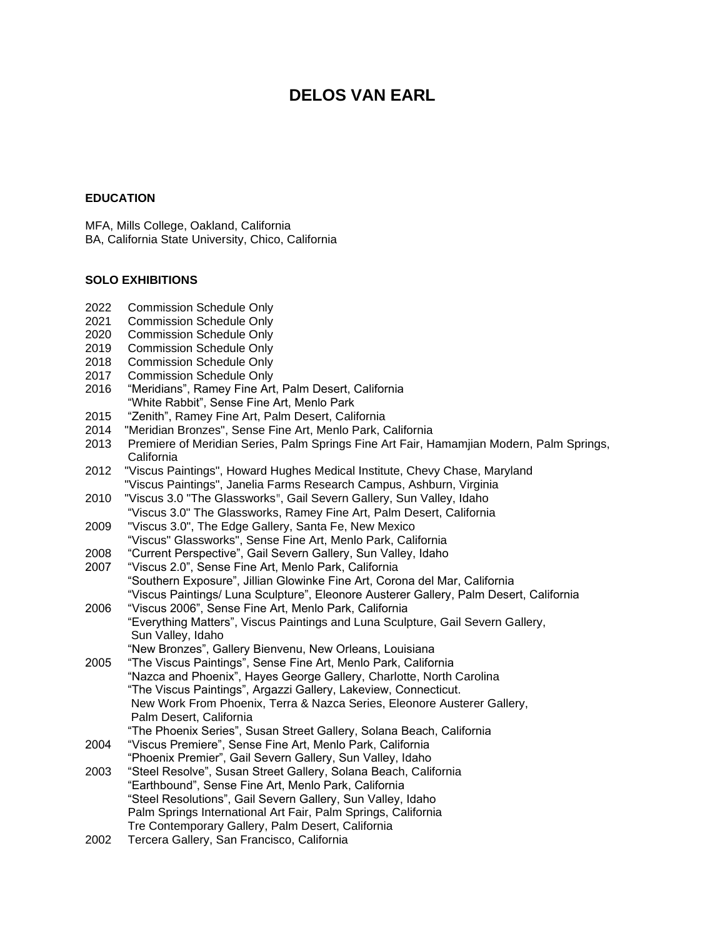# **DELOS VAN EARL**

# **EDUCATION**

MFA, Mills College, Oakland, California BA, California State University, Chico, California

# **SOLO EXHIBITIONS**

- 2022 Commission Schedule Only
- 2021 Commission Schedule Only
- 2020 Commission Schedule Only
- 2019 Commission Schedule Only
- 2018 Commission Schedule Only
- 2017 Commission Schedule Only
- 2016 "Meridians", Ramey Fine Art, Palm Desert, California "White Rabbit", Sense Fine Art, Menlo Park
- 2015 "Zenith", Ramey Fine Art, Palm Desert, California
- 2014 "Meridian Bronzes", Sense Fine Art, Menlo Park, California
- 2013 Premiere of Meridian Series, Palm Springs Fine Art Fair, Hamamjian Modern, Palm Springs, California
- 2012 "Viscus Paintings", Howard Hughes Medical Institute, Chevy Chase, Maryland "Viscus Paintings", Janelia Farms Research Campus, Ashburn, Virginia
- 2010 "Viscus 3.0 "The Glassworks", Gail Severn Gallery, Sun Valley, Idaho "Viscus 3.0" The Glassworks, Ramey Fine Art, Palm Desert, California
- 2009 "Viscus 3.0", The Edge Gallery, Santa Fe, New Mexico "Viscus" Glassworks", Sense Fine Art, Menlo Park, California
- 2008 "Current Perspective", Gail Severn Gallery, Sun Valley, Idaho
- 2007 "Viscus 2.0", Sense Fine Art, Menlo Park, California "Southern Exposure", Jillian Glowinke Fine Art, Corona del Mar, California "Viscus Paintings/ Luna Sculpture", Eleonore Austerer Gallery, Palm Desert, California
- 2006 "Viscus 2006", Sense Fine Art, Menlo Park, California "Everything Matters", Viscus Paintings and Luna Sculpture, Gail Severn Gallery, Sun Valley, Idaho "New Bronzes", Gallery Bienvenu, New Orleans, Louisiana
- 2005 "The Viscus Paintings", Sense Fine Art, Menlo Park, California "Nazca and Phoenix", Hayes George Gallery, Charlotte, North Carolina "The Viscus Paintings", Argazzi Gallery, Lakeview, Connecticut. New Work From Phoenix, Terra & Nazca Series, Eleonore Austerer Gallery, Palm Desert, California "The Phoenix Series", Susan Street Gallery, Solana Beach, California
- 2004 "Viscus Premiere", Sense Fine Art, Menlo Park, California "Phoenix Premier", Gail Severn Gallery, Sun Valley, Idaho
- 2003 "Steel Resolve", Susan Street Gallery, Solana Beach, California "Earthbound", Sense Fine Art, Menlo Park, California "Steel Resolutions", Gail Severn Gallery, Sun Valley, Idaho Palm Springs International Art Fair, Palm Springs, California Tre Contemporary Gallery, Palm Desert, California
- 2002 Tercera Gallery, San Francisco, California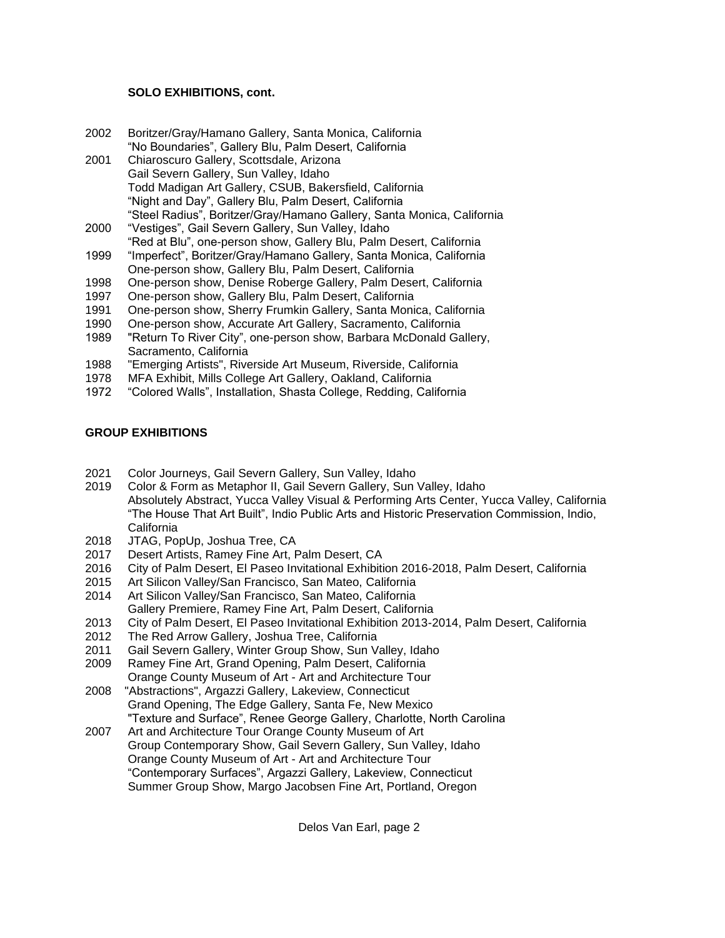# **SOLO EXHIBITIONS, cont.**

- 2002 Boritzer/Gray/Hamano Gallery, Santa Monica, California "No Boundaries", Gallery Blu, Palm Desert, California
- 2001 Chiaroscuro Gallery, Scottsdale, Arizona Gail Severn Gallery, Sun Valley, Idaho Todd Madigan Art Gallery, CSUB, Bakersfield, California "Night and Day", Gallery Blu, Palm Desert, California "Steel Radius", Boritzer/Gray/Hamano Gallery, Santa Monica, California
- 2000 "Vestiges", Gail Severn Gallery, Sun Valley, Idaho "Red at Blu", one-person show, Gallery Blu, Palm Desert, California
- 1999 "Imperfect", Boritzer/Gray/Hamano Gallery, Santa Monica, California One-person show, Gallery Blu, Palm Desert, California
- 1998 One-person show, Denise Roberge Gallery, Palm Desert, California
- 1997 One-person show, Gallery Blu, Palm Desert, California
- 1991 One-person show, Sherry Frumkin Gallery, Santa Monica, California
- 1990 One-person show, Accurate Art Gallery, Sacramento, California
- 1989 "Return To River City", one-person show, Barbara McDonald Gallery, Sacramento, California
- 1988 "Emerging Artists", Riverside Art Museum, Riverside, California
- 1978 MFA Exhibit, Mills College Art Gallery, Oakland, California
- 1972 "Colored Walls", Installation, Shasta College, Redding, California

# **GROUP EXHIBITIONS**

- 2021 Color Journeys, Gail Severn Gallery, Sun Valley, Idaho
- 2019 Color & Form as Metaphor II, Gail Severn Gallery, Sun Valley, Idaho Absolutely Abstract, Yucca Valley Visual & Performing Arts Center, Yucca Valley, California "The House That Art Built", Indio Public Arts and Historic Preservation Commission, Indio, California
- 2018 JTAG, PopUp, Joshua Tree, CA
- 2017 Desert Artists, Ramey Fine Art, Palm Desert, CA
- 2016 City of Palm Desert, El Paseo Invitational Exhibition 2016-2018, Palm Desert, California
- 2015 Art Silicon Valley/San Francisco, San Mateo, California
- 2014 Art Silicon Valley/San Francisco, San Mateo, California Gallery Premiere, Ramey Fine Art, Palm Desert, California
- 2013 City of Palm Desert, El Paseo Invitational Exhibition 2013-2014, Palm Desert, California
- 2012 The Red Arrow Gallery, Joshua Tree, California
- 2011 Gail Severn Gallery, Winter Group Show, Sun Valley, Idaho
- 2009 Ramey Fine Art, Grand Opening, Palm Desert, California Orange County Museum of Art - Art and Architecture Tour
- 2008 "Abstractions", Argazzi Gallery, Lakeview, Connecticut Grand Opening, The Edge Gallery, Santa Fe, New Mexico "Texture and Surface", Renee George Gallery, Charlotte, North Carolina
- 2007 Art and Architecture Tour Orange County Museum of Art Group Contemporary Show, Gail Severn Gallery, Sun Valley, Idaho Orange County Museum of Art - Art and Architecture Tour "Contemporary Surfaces", Argazzi Gallery, Lakeview, Connecticut Summer Group Show, Margo Jacobsen Fine Art, Portland, Oregon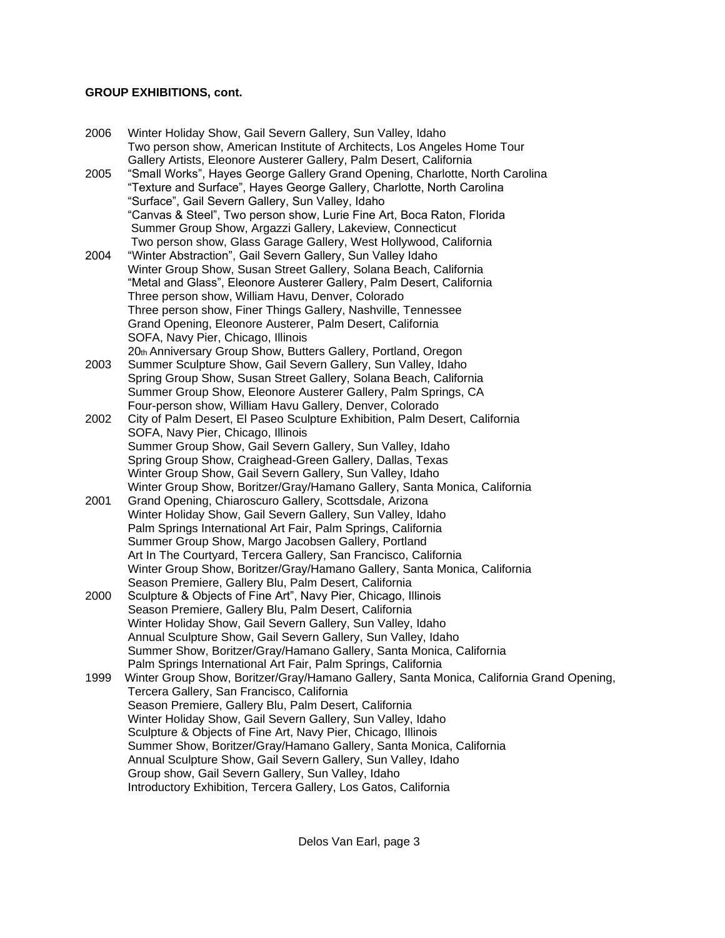# **GROUP EXHIBITIONS, cont.**

- 2006 Winter Holiday Show, Gail Severn Gallery, Sun Valley, Idaho Two person show, American Institute of Architects, Los Angeles Home Tour Gallery Artists, Eleonore Austerer Gallery, Palm Desert, California
- 2005 "Small Works", Hayes George Gallery Grand Opening, Charlotte, North Carolina "Texture and Surface", Hayes George Gallery, Charlotte, North Carolina "Surface", Gail Severn Gallery, Sun Valley, Idaho "Canvas & Steel", Two person show, Lurie Fine Art, Boca Raton, Florida Summer Group Show, Argazzi Gallery, Lakeview, Connecticut Two person show, Glass Garage Gallery, West Hollywood, California
- 2004 "Winter Abstraction", Gail Severn Gallery, Sun Valley Idaho Winter Group Show, Susan Street Gallery, Solana Beach, California "Metal and Glass", Eleonore Austerer Gallery, Palm Desert, California Three person show, William Havu, Denver, Colorado Three person show, Finer Things Gallery, Nashville, Tennessee Grand Opening, Eleonore Austerer, Palm Desert, California SOFA, Navy Pier, Chicago, Illinois
- 20th Anniversary Group Show, Butters Gallery, Portland, Oregon 2003 Summer Sculpture Show, Gail Severn Gallery, Sun Valley, Idaho Spring Group Show, Susan Street Gallery, Solana Beach, California Summer Group Show, Eleonore Austerer Gallery, Palm Springs, CA Four-person show, William Havu Gallery, Denver, Colorado
- 2002 City of Palm Desert, El Paseo Sculpture Exhibition, Palm Desert, California SOFA, Navy Pier, Chicago, Illinois Summer Group Show, Gail Severn Gallery, Sun Valley, Idaho Spring Group Show, Craighead-Green Gallery, Dallas, Texas Winter Group Show, Gail Severn Gallery, Sun Valley, Idaho Winter Group Show, Boritzer/Gray/Hamano Gallery, Santa Monica, California
- 2001 Grand Opening, Chiaroscuro Gallery, Scottsdale, Arizona Winter Holiday Show, Gail Severn Gallery, Sun Valley, Idaho Palm Springs International Art Fair, Palm Springs, California Summer Group Show, Margo Jacobsen Gallery, Portland Art In The Courtyard, Tercera Gallery, San Francisco, California Winter Group Show, Boritzer/Gray/Hamano Gallery, Santa Monica, California Season Premiere, Gallery Blu, Palm Desert, California
- 2000 Sculpture & Objects of Fine Art", Navy Pier, Chicago, Illinois Season Premiere, Gallery Blu, Palm Desert, California Winter Holiday Show, Gail Severn Gallery, Sun Valley, Idaho Annual Sculpture Show, Gail Severn Gallery, Sun Valley, Idaho Summer Show, Boritzer/Gray/Hamano Gallery, Santa Monica, California Palm Springs International Art Fair, Palm Springs, California
- 1999 Winter Group Show, Boritzer/Gray/Hamano Gallery, Santa Monica, California Grand Opening, Tercera Gallery, San Francisco, California Season Premiere, Gallery Blu, Palm Desert, California Winter Holiday Show, Gail Severn Gallery, Sun Valley, Idaho Sculpture & Objects of Fine Art, Navy Pier, Chicago, Illinois Summer Show, Boritzer/Gray/Hamano Gallery, Santa Monica, California Annual Sculpture Show, Gail Severn Gallery, Sun Valley, Idaho Group show, Gail Severn Gallery, Sun Valley, Idaho Introductory Exhibition, Tercera Gallery, Los Gatos, California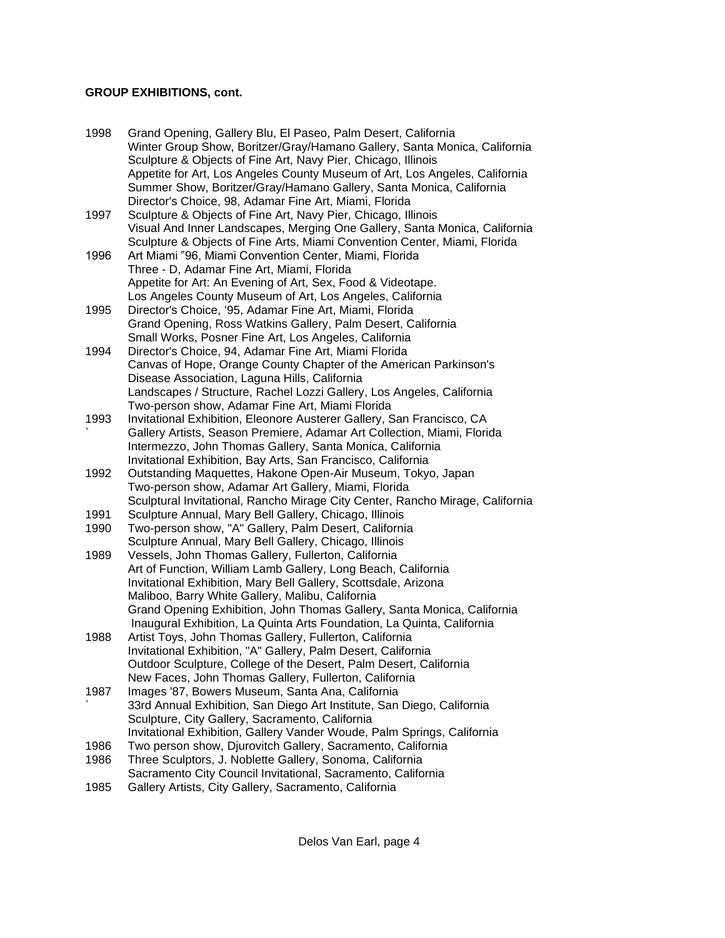# **GROUP EXHIBITIONS, cont.**

| 1998         | Grand Opening, Gallery Blu, El Paseo, Palm Desert, California<br>Winter Group Show, Boritzer/Gray/Hamano Gallery, Santa Monica, California<br>Sculpture & Objects of Fine Art, Navy Pier, Chicago, Illinois |
|--------------|-------------------------------------------------------------------------------------------------------------------------------------------------------------------------------------------------------------|
|              | Appetite for Art, Los Angeles County Museum of Art, Los Angeles, California<br>Summer Show, Boritzer/Gray/Hamano Gallery, Santa Monica, California                                                          |
|              | Director's Choice, 98, Adamar Fine Art, Miami, Florida                                                                                                                                                      |
| 1997         | Sculpture & Objects of Fine Art, Navy Pier, Chicago, Illinois                                                                                                                                               |
|              | Visual And Inner Landscapes, Merging One Gallery, Santa Monica, California<br>Sculpture & Objects of Fine Arts, Miami Convention Center, Miami, Florida                                                     |
| 1996         | Art Miami "96, Miami Convention Center, Miami, Florida                                                                                                                                                      |
|              | Three - D, Adamar Fine Art, Miami, Florida                                                                                                                                                                  |
|              | Appetite for Art: An Evening of Art, Sex, Food & Videotape.                                                                                                                                                 |
|              | Los Angeles County Museum of Art, Los Angeles, California                                                                                                                                                   |
| 1995         | Director's Choice, '95, Adamar Fine Art, Miami, Florida                                                                                                                                                     |
|              | Grand Opening, Ross Watkins Gallery, Palm Desert, California                                                                                                                                                |
|              | Small Works, Posner Fine Art, Los Angeles, California                                                                                                                                                       |
| 1994         | Director's Choice, 94, Adamar Fine Art, Miami Florida                                                                                                                                                       |
|              | Canvas of Hope, Orange County Chapter of the American Parkinson's                                                                                                                                           |
|              | Disease Association, Laguna Hills, California                                                                                                                                                               |
|              | Landscapes / Structure, Rachel Lozzi Gallery, Los Angeles, California                                                                                                                                       |
|              | Two-person show, Adamar Fine Art, Miami Florida                                                                                                                                                             |
| 1993         | Invitational Exhibition, Eleonore Austerer Gallery, San Francisco, CA                                                                                                                                       |
|              | Gallery Artists, Season Premiere, Adamar Art Collection, Miami, Florida                                                                                                                                     |
|              | Intermezzo, John Thomas Gallery, Santa Monica, California                                                                                                                                                   |
|              | Invitational Exhibition, Bay Arts, San Francisco, California                                                                                                                                                |
| 1992         | Outstanding Maquettes, Hakone Open-Air Museum, Tokyo, Japan                                                                                                                                                 |
|              | Two-person show, Adamar Art Gallery, Miami, Florida                                                                                                                                                         |
|              | Sculptural Invitational, Rancho Mirage City Center, Rancho Mirage, California                                                                                                                               |
| 1991         | Sculpture Annual, Mary Bell Gallery, Chicago, Illinois                                                                                                                                                      |
| 1990         | Two-person show, "A" Gallery, Palm Desert, California                                                                                                                                                       |
|              | Sculpture Annual, Mary Bell Gallery, Chicago, Illinois                                                                                                                                                      |
| 1989         | Vessels, John Thomas Gallery, Fullerton, California                                                                                                                                                         |
|              | Art of Function, William Lamb Gallery, Long Beach, California                                                                                                                                               |
|              | Invitational Exhibition, Mary Bell Gallery, Scottsdale, Arizona                                                                                                                                             |
|              | Maliboo, Barry White Gallery, Malibu, California                                                                                                                                                            |
|              | Grand Opening Exhibition, John Thomas Gallery, Santa Monica, California                                                                                                                                     |
|              | Inaugural Exhibition, La Quinta Arts Foundation, La Quinta, California                                                                                                                                      |
| 1988         | Artist Toys, John Thomas Gallery, Fullerton, California                                                                                                                                                     |
|              | Invitational Exhibition, "A" Gallery, Palm Desert, California                                                                                                                                               |
|              | Outdoor Sculpture, College of the Desert, Palm Desert, California                                                                                                                                           |
|              | New Faces, John Thomas Gallery, Fullerton, California                                                                                                                                                       |
| 1987         | Images '87, Bowers Museum, Santa Ana, California                                                                                                                                                            |
|              | 33rd Annual Exhibition, San Diego Art Institute, San Diego, California                                                                                                                                      |
|              | Sculpture, City Gallery, Sacramento, California                                                                                                                                                             |
|              | Invitational Exhibition, Gallery Vander Woude, Palm Springs, California                                                                                                                                     |
| 1986         | Two person show, Djurovitch Gallery, Sacramento, California                                                                                                                                                 |
| 1986<br>100E | Three Sculptors, J. Noblette Gallery, Sonoma, California                                                                                                                                                    |
|              | Sacramento City Council Invitational, Sacramento, California<br>College Artists City College Secrepante Colifornia                                                                                          |
|              |                                                                                                                                                                                                             |

1985 Gallery Artists, City Gallery, Sacramento, California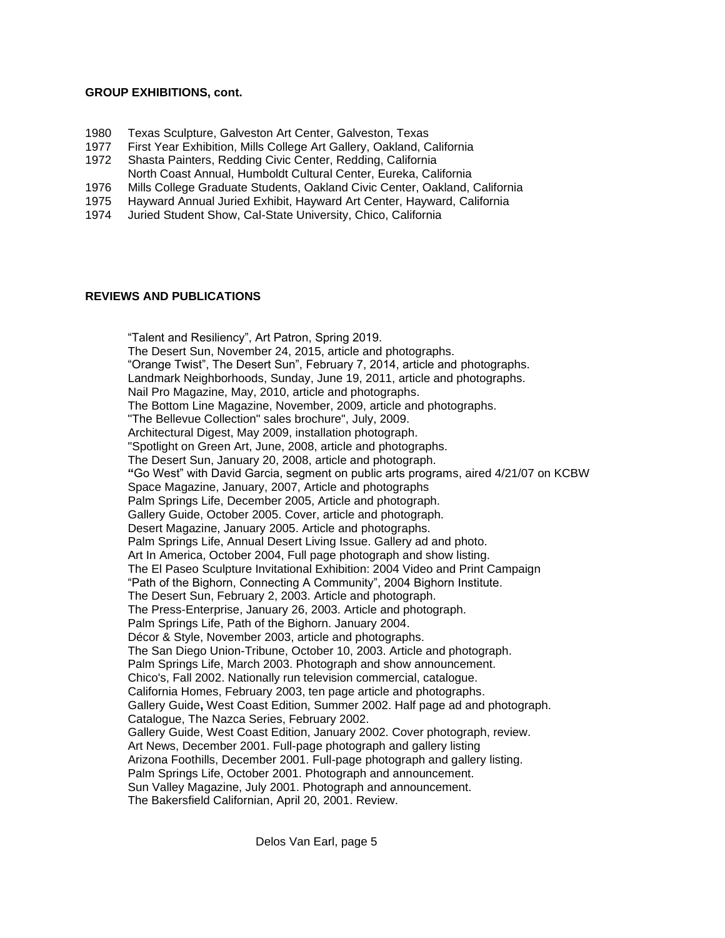#### **GROUP EXHIBITIONS, cont.**

- 1980 Texas Sculpture, Galveston Art Center, Galveston, Texas
- 1977 First Year Exhibition, Mills College Art Gallery, Oakland, California
- 1972 Shasta Painters, Redding Civic Center, Redding, California North Coast Annual, Humboldt Cultural Center, Eureka, California
- 1976 Mills College Graduate Students, Oakland Civic Center, Oakland, California
- 1975 Hayward Annual Juried Exhibit, Hayward Art Center, Hayward, California
- 1974 Juried Student Show, Cal-State University, Chico, California

# **REVIEWS AND PUBLICATIONS**

"Talent and Resiliency", Art Patron, Spring 2019. The Desert Sun, November 24, 2015, article and photographs. "Orange Twist", The Desert Sun", February 7, 2014, article and photographs. Landmark Neighborhoods, Sunday, June 19, 2011, article and photographs. Nail Pro Magazine, May, 2010, article and photographs. The Bottom Line Magazine, November, 2009, article and photographs. "The Bellevue Collection" sales brochure", July, 2009. Architectural Digest, May 2009, installation photograph. "Spotlight on Green Art, June, 2008, article and photographs. The Desert Sun, January 20, 2008, article and photograph. **"**Go West" with David Garcia, segment on public arts programs, aired 4/21/07 on KCBW Space Magazine, January, 2007, Article and photographs Palm Springs Life, December 2005, Article and photograph. Gallery Guide, October 2005. Cover, article and photograph. Desert Magazine, January 2005. Article and photographs. Palm Springs Life, Annual Desert Living Issue. Gallery ad and photo. Art In America, October 2004, Full page photograph and show listing. The El Paseo Sculpture Invitational Exhibition: 2004 Video and Print Campaign "Path of the Bighorn, Connecting A Community", 2004 Bighorn Institute. The Desert Sun, February 2, 2003. Article and photograph. The Press-Enterprise, January 26, 2003. Article and photograph. Palm Springs Life, Path of the Bighorn. January 2004. Décor & Style, November 2003, article and photographs. The San Diego Union-Tribune, October 10, 2003. Article and photograph. Palm Springs Life, March 2003. Photograph and show announcement. Chico's, Fall 2002. Nationally run television commercial, catalogue. California Homes, February 2003, ten page article and photographs. Gallery Guide**,** West Coast Edition, Summer 2002. Half page ad and photograph. Catalogue, The Nazca Series, February 2002. Gallery Guide, West Coast Edition, January 2002. Cover photograph, review. Art News, December 2001. Full-page photograph and gallery listing Arizona Foothills, December 2001. Full-page photograph and gallery listing. Palm Springs Life, October 2001. Photograph and announcement. Sun Valley Magazine, July 2001. Photograph and announcement. The Bakersfield Californian, April 20, 2001. Review.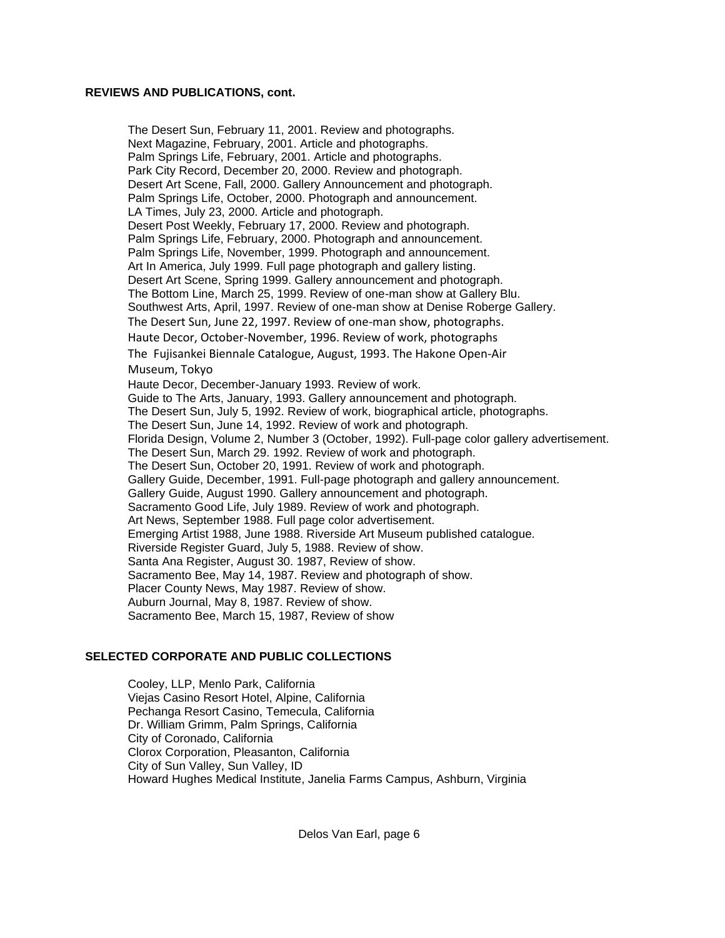#### **REVIEWS AND PUBLICATIONS, cont.**

The Desert Sun, February 11, 2001. Review and photographs. Next Magazine, February, 2001. Article and photographs. Palm Springs Life, February, 2001. Article and photographs. Park City Record, December 20, 2000. Review and photograph. Desert Art Scene, Fall, 2000. Gallery Announcement and photograph. Palm Springs Life, October, 2000. Photograph and announcement. LA Times, July 23, 2000. Article and photograph. Desert Post Weekly, February 17, 2000. Review and photograph. Palm Springs Life, February, 2000. Photograph and announcement. Palm Springs Life, November, 1999. Photograph and announcement. Art In America, July 1999. Full page photograph and gallery listing. Desert Art Scene, Spring 1999. Gallery announcement and photograph. The Bottom Line, March 25, 1999. Review of one-man show at Gallery Blu. Southwest Arts, April, 1997. Review of one-man show at Denise Roberge Gallery. The Desert Sun, June 22, 1997. Review of one-man show, photographs. Haute Decor, October-November, 1996. Review of work, photographs The Fujisankei Biennale Catalogue, August, 1993. The Hakone Open-Air Museum, Tokyo Haute Decor, December-January 1993. Review of work. Guide to The Arts, January, 1993. Gallery announcement and photograph. The Desert Sun, July 5, 1992. Review of work, biographical article, photographs. The Desert Sun, June 14, 1992. Review of work and photograph. Florida Design, Volume 2, Number 3 (October, 1992). Full-page color gallery advertisement. The Desert Sun, March 29. 1992. Review of work and photograph. The Desert Sun, October 20, 1991. Review of work and photograph. Gallery Guide, December, 1991. Full-page photograph and gallery announcement. Gallery Guide, August 1990. Gallery announcement and photograph. Sacramento Good Life, July 1989. Review of work and photograph. Art News, September 1988. Full page color advertisement. Emerging Artist 1988, June 1988. Riverside Art Museum published catalogue. Riverside Register Guard, July 5, 1988. Review of show. Santa Ana Register, August 30. 1987, Review of show. Sacramento Bee, May 14, 1987. Review and photograph of show. Placer County News, May 1987. Review of show. Auburn Journal, May 8, 1987. Review of show. Sacramento Bee, March 15, 1987, Review of show

#### **SELECTED CORPORATE AND PUBLIC COLLECTIONS**

Cooley, LLP, Menlo Park, California Viejas Casino Resort Hotel, Alpine, California Pechanga Resort Casino, Temecula, California Dr. William Grimm, Palm Springs, California City of Coronado, California Clorox Corporation, Pleasanton, California City of Sun Valley, Sun Valley, ID Howard Hughes Medical Institute, Janelia Farms Campus, Ashburn, Virginia

Delos Van Earl, page 6